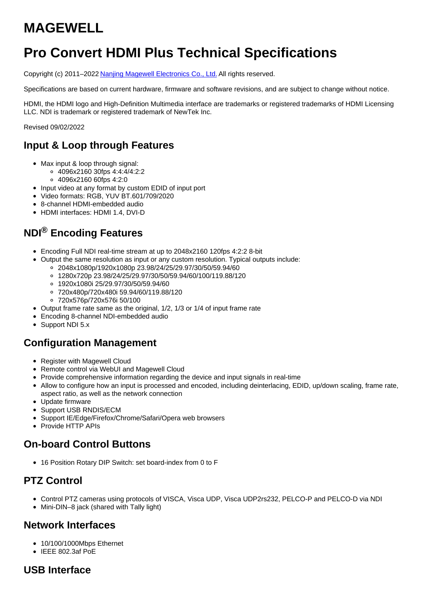# **MAGEWELL**

# **Pro Convert HDMI Plus Technical Specifications**

Copyright (c) 2011–2022 Nanjing Magewell [Electronics](http://www.magewell.com) Co., Ltd. All rights reserved.

Specifications are based on current hardware, firmware and software revisions, and are subject to change without notice.

HDMI, the HDMI logo and High-Definition Multimedia interface are trademarks or registered trademarks of HDMI Licensing LLC. NDI is trademark or registered trademark of NewTek Inc.

Revised 09/02/2022

## **Input & Loop through Features**

- Max input & loop through signal:
	- 4096x2160 30fps 4:4:4/4:2:2
		- 4096x2160 60fps 4:2:0
- Input video at any format by custom EDID of input port
- Video formats: RGB, YUV BT.601/709/2020
- 8-channel HDMI-embedded audio
- HDMI interfaces: HDMI 1.4, DVI-D

## **NDI® Encoding Features**

- Encoding Full NDI real-time stream at up to 2048x2160 120fps 4:2:2 8-bit
- Output the same resolution as input or any custom resolution. Typical outputs include:
	- 2048x1080p/1920x1080p 23.98/24/25/29.97/30/50/59.94/60
		- 1280x720p 23.98/24/25/29.97/30/50/59.94/60/100/119.88/120
		- 1920x1080i 25/29.97/30/50/59.94/60
		- 720x480p/720x480i 59.94/60/119.88/120
		- 720x576p/720x576i 50/100
- Output frame rate same as the original, 1/2, 1/3 or 1/4 of input frame rate
- Encoding 8-channel NDI-embedded audio
- Support NDI 5.x

#### **Configuration Management**

- Register with Magewell Cloud
- Remote control via WebUI and Magewell Cloud
- Provide comprehensive information regarding the device and input signals in real-time
- Allow to configure how an input is processed and encoded, including deinterlacing, EDID, up/down scaling, frame rate, aspect ratio, as well as the network connection
- Update firmware
- Support USB RNDIS/ECM
- Support IE/Edge/Firefox/Chrome/Safari/Opera web browsers
- Provide HTTP APIs

#### **On-board Control Buttons**

16 Position Rotary DIP Switch: set board-index from 0 to F

## **PTZ Control**

- Control PTZ cameras using protocols of VISCA, Visca UDP, Visca UDP2rs232, PELCO-P and PELCO-D via NDI
- Mini-DIN–8 jack (shared with Tally light)

#### **Network Interfaces**

- 10/100/1000Mbps Ethernet
- IEEE 802.3af PoE

#### **USB Interface**